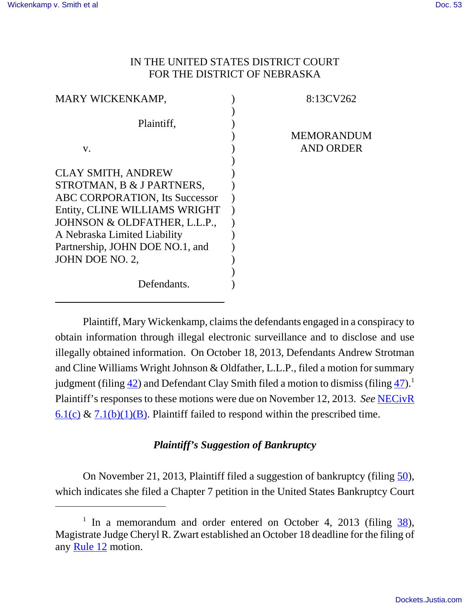## IN THE UNITED STATES DISTRICT COURT FOR THE DISTRICT OF NEBRASKA

| <b>MARY WICKENKAMP,</b>               | 8:13CV262         |
|---------------------------------------|-------------------|
|                                       |                   |
| Plaintiff,                            |                   |
|                                       | <b>MEMORANDUM</b> |
| V.                                    | AND ORDER         |
|                                       |                   |
| <b>CLAY SMITH, ANDREW</b>             |                   |
| STROTMAN, B & J PARTNERS,             |                   |
| <b>ABC CORPORATION, Its Successor</b> |                   |
| Entity, CLINE WILLIAMS WRIGHT         |                   |
| JOHNSON & OLDFATHER, L.L.P.,          |                   |
| A Nebraska Limited Liability          |                   |
| Partnership, JOHN DOE NO.1, and       |                   |
| JOHN DOE NO. 2,                       |                   |
|                                       |                   |
| Defendants.                           |                   |
|                                       |                   |

Plaintiff, Mary Wickenkamp, claims the defendants engaged in a conspiracy to obtain information through illegal electronic surveillance and to disclose and use illegally obtained information. On October 18, 2013, Defendants Andrew Strotman and Cline Williams Wright Johnson & Oldfather, L.L.P., filed a motion for summary judgment (filing  $\frac{42}{1}$ ) and Defendant Clay Smith filed a motion to dismiss (filing  $\frac{47}{1}$ ).<sup>1</sup> Plaintiff's responses to these motions were due on November 12, 2013. *See* NECivR  $6.1(c)$  &  $7.1(b)(1)(B)$ . Plaintiff failed to respond within the prescribed time.

# *Plaintiff's Suggestion of Bankruptcy*

On November 21, 2013, Plaintiff filed a suggestion of bankruptcy (filing 50), which indicates she filed a Chapter 7 petition in the United States Bankruptcy Court

<sup>&</sup>lt;sup>1</sup> In a memorandum and order entered on October 4, 2013 (filing  $\frac{38}{20}$ ), Magistrate Judge Cheryl R. Zwart established an October 18 deadline for the filing of any Rule 12 motion.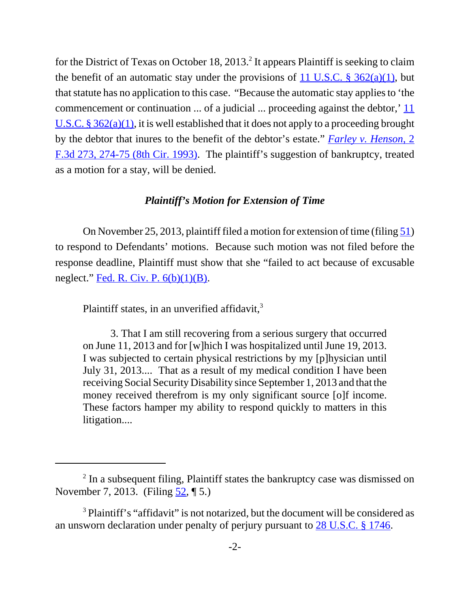for the District of Texas on October 18, 2013.<sup>2</sup> It appears Plaintiff is seeking to claim the benefit of an automatic stay under the provisions of  $11$  U.S.C. § 362(a)(1), but that statute has no application to this case. "Because the automatic stay applies to 'the commencement or continuation ... of a judicial ... proceeding against the debtor,' 11 U.S.C. §  $362(a)(1)$ , it is well established that it does not apply to a proceeding brought by the debtor that inures to the benefit of the debtor's estate." *Farley v. Henson*, 2 F.3d 273, 274-75 (8th Cir. 1993). The plaintiff's suggestion of bankruptcy, treated as a motion for a stay, will be denied.

### *Plaintiff's Motion for Extension of Time*

On November 25, 2013, plaintiff filed a motion for extension of time (filing 51) to respond to Defendants' motions. Because such motion was not filed before the response deadline, Plaintiff must show that she "failed to act because of excusable neglect." Fed. R. Civ. P.  $6(b)(1)(B)$ .

Plaintiff states, in an unverified affidavit, $3$ 

3. That I am still recovering from a serious surgery that occurred on June 11, 2013 and for [w]hich I was hospitalized until June 19, 2013. I was subjected to certain physical restrictions by my [p]hysician until July 31, 2013.... That as a result of my medical condition I have been receiving Social Security Disability since September 1, 2013 and that the money received therefrom is my only significant source [o]f income. These factors hamper my ability to respond quickly to matters in this litigation....

<sup>&</sup>lt;sup>2</sup> In a subsequent filing, Plaintiff states the bankruptcy case was dismissed on November 7, 2013. (Filing 52, ¶ 5.)

<sup>&</sup>lt;sup>3</sup> Plaintiff's "affidavit" is not notarized, but the document will be considered as an unsworn declaration under penalty of perjury pursuant to 28 U.S.C. § 1746.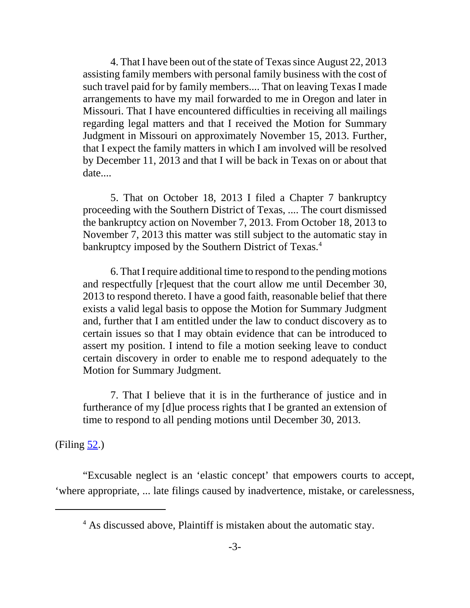4. That I have been out of the state of Texas since August 22, 2013 assisting family members with personal family business with the cost of such travel paid for by family members.... That on leaving Texas I made arrangements to have my mail forwarded to me in Oregon and later in Missouri. That I have encountered difficulties in receiving all mailings regarding legal matters and that I received the Motion for Summary Judgment in Missouri on approximately November 15, 2013. Further, that I expect the family matters in which I am involved will be resolved by December 11, 2013 and that I will be back in Texas on or about that date....

5. That on October 18, 2013 I filed a Chapter 7 bankruptcy proceeding with the Southern District of Texas, .... The court dismissed the bankruptcy action on November 7, 2013. From October 18, 2013 to November 7, 2013 this matter was still subject to the automatic stay in bankruptcy imposed by the Southern District of Texas.<sup>4</sup>

6. That I require additional time to respond to the pending motions and respectfully [r]equest that the court allow me until December 30, 2013 to respond thereto. I have a good faith, reasonable belief that there exists a valid legal basis to oppose the Motion for Summary Judgment and, further that I am entitled under the law to conduct discovery as to certain issues so that I may obtain evidence that can be introduced to assert my position. I intend to file a motion seeking leave to conduct certain discovery in order to enable me to respond adequately to the Motion for Summary Judgment.

7. That I believe that it is in the furtherance of justice and in furtherance of my [d]ue process rights that I be granted an extension of time to respond to all pending motions until December 30, 2013.

 $(Filing 52.)$ 

"Excusable neglect is an 'elastic concept' that empowers courts to accept, 'where appropriate, ... late filings caused by inadvertence, mistake, or carelessness,

<sup>&</sup>lt;sup>4</sup> As discussed above, Plaintiff is mistaken about the automatic stay.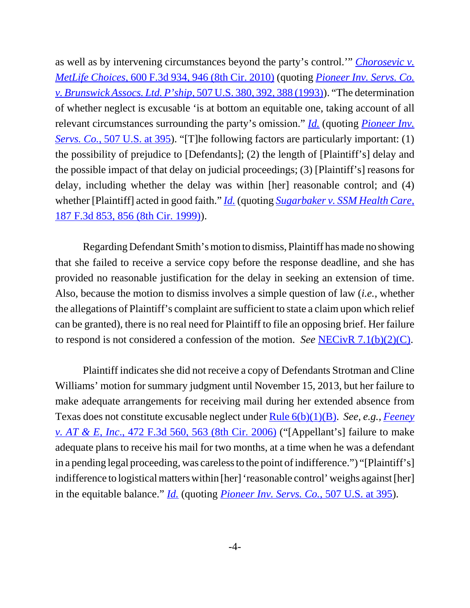as well as by intervening circumstances beyond the party's control.'" *Chorosevic v. MetLife Choices*, 600 F.3d 934, 946 (8th Cir. 2010) (quoting *Pioneer Inv. Servs. Co. v. Brunswick Assocs. Ltd. P'ship*, 507 U.S. 380, 392, 388 (1993)). "The determination of whether neglect is excusable 'is at bottom an equitable one, taking account of all relevant circumstances surrounding the party's omission." *Id.* (quoting *Pioneer Inv. Servs. Co.*, 507 U.S. at 395). "[T]he following factors are particularly important: (1) the possibility of prejudice to [Defendants]; (2) the length of [Plaintiff's] delay and the possible impact of that delay on judicial proceedings; (3) [Plaintiff's] reasons for delay, including whether the delay was within [her] reasonable control; and (4) whether [Plaintiff] acted in good faith." *Id.* (quoting *Sugarbaker v. SSM Health Care*, 187 F.3d 853, 856 (8th Cir. 1999)).

Regarding Defendant Smith's motion to dismiss, Plaintiff has made no showing that she failed to receive a service copy before the response deadline, and she has provided no reasonable justification for the delay in seeking an extension of time. Also, because the motion to dismiss involves a simple question of law (*i.e.*, whether the allegations of Plaintiff's complaint are sufficient to state a claim upon which relief can be granted), there is no real need for Plaintiff to file an opposing brief. Her failure to respond is not considered a confession of the motion. *See* NECivR 7.1(b)(2)(C).

Plaintiff indicates she did not receive a copy of Defendants Strotman and Cline Williams' motion for summary judgment until November 15, 2013, but her failure to make adequate arrangements for receiving mail during her extended absence from Texas does not constitute excusable neglect under Rule 6(b)(1)(B). *See, e.g., Feeney v. AT & E, Inc*., 472 F.3d 560, 563 (8th Cir. 2006) ("[Appellant's] failure to make adequate plans to receive his mail for two months, at a time when he was a defendant in a pending legal proceeding, was careless to the point of indifference.") "[Plaintiff's] indifference to logistical matters within [her] 'reasonable control' weighs against [her] in the equitable balance." *Id.* (quoting *Pioneer Inv. Servs. Co.*, 507 U.S. at 395).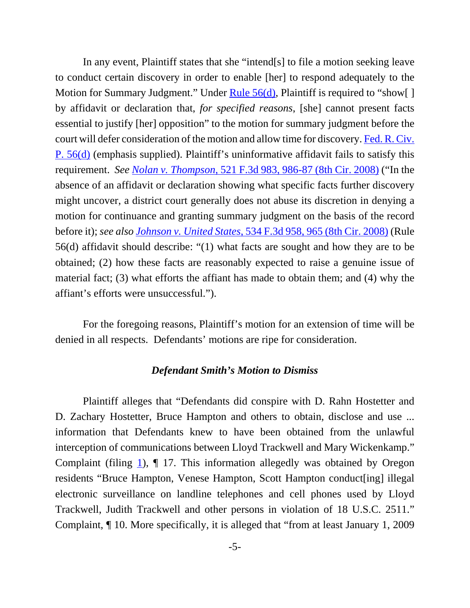In any event, Plaintiff states that she "intend[s] to file a motion seeking leave to conduct certain discovery in order to enable [her] to respond adequately to the Motion for Summary Judgment." Under Rule 56(d), Plaintiff is required to "show[] by affidavit or declaration that, *for specified reasons*, [she] cannot present facts essential to justify [her] opposition" to the motion for summary judgment before the court will defer consideration of the motion and allow time for discovery. Fed. R. Civ. P. 56(d) (emphasis supplied). Plaintiff's uninformative affidavit fails to satisfy this requirement. *See Nolan v. Thompson*, 521 F.3d 983, 986-87 (8th Cir. 2008) ("In the absence of an affidavit or declaration showing what specific facts further discovery might uncover, a district court generally does not abuse its discretion in denying a motion for continuance and granting summary judgment on the basis of the record before it); *see also Johnson v. United States*, 534 F.3d 958, 965 (8th Cir. 2008) (Rule 56(d) affidavit should describe: "(1) what facts are sought and how they are to be obtained; (2) how these facts are reasonably expected to raise a genuine issue of material fact; (3) what efforts the affiant has made to obtain them; and (4) why the affiant's efforts were unsuccessful.").

For the foregoing reasons, Plaintiff's motion for an extension of time will be denied in all respects. Defendants' motions are ripe for consideration.

#### *Defendant Smith's Motion to Dismiss*

Plaintiff alleges that "Defendants did conspire with D. Rahn Hostetter and D. Zachary Hostetter, Bruce Hampton and others to obtain, disclose and use ... information that Defendants knew to have been obtained from the unlawful interception of communications between Lloyd Trackwell and Mary Wickenkamp." Complaint (filing  $\underline{1}$ ),  $\P$  17. This information allegedly was obtained by Oregon residents "Bruce Hampton, Venese Hampton, Scott Hampton conduct[ing] illegal electronic surveillance on landline telephones and cell phones used by Lloyd Trackwell, Judith Trackwell and other persons in violation of 18 U.S.C. 2511." Complaint, ¶ 10. More specifically, it is alleged that "from at least January 1, 2009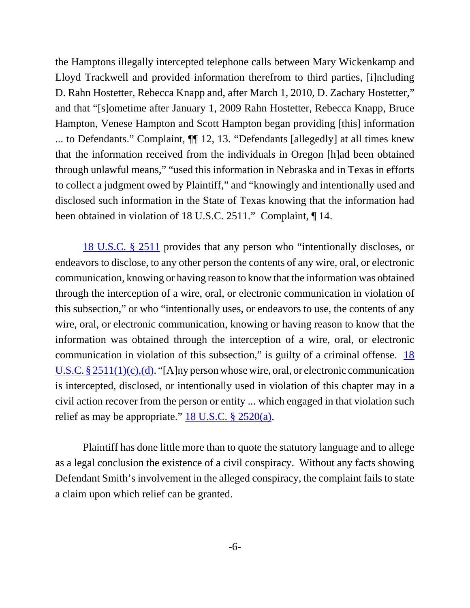the Hamptons illegally intercepted telephone calls between Mary Wickenkamp and Lloyd Trackwell and provided information therefrom to third parties, [i]ncluding D. Rahn Hostetter, Rebecca Knapp and, after March 1, 2010, D. Zachary Hostetter," and that "[s]ometime after January 1, 2009 Rahn Hostetter, Rebecca Knapp, Bruce Hampton, Venese Hampton and Scott Hampton began providing [this] information ... to Defendants." Complaint, ¶¶ 12, 13. "Defendants [allegedly] at all times knew that the information received from the individuals in Oregon [h]ad been obtained through unlawful means," "used this information in Nebraska and in Texas in efforts to collect a judgment owed by Plaintiff," and "knowingly and intentionally used and disclosed such information in the State of Texas knowing that the information had been obtained in violation of 18 U.S.C. 2511." Complaint, ¶ 14.

18 U.S.C. § 2511 provides that any person who "intentionally discloses, or endeavors to disclose, to any other person the contents of any wire, oral, or electronic communication, knowing or having reason to know that the information was obtained through the interception of a wire, oral, or electronic communication in violation of this subsection," or who "intentionally uses, or endeavors to use, the contents of any wire, oral, or electronic communication, knowing or having reason to know that the information was obtained through the interception of a wire, oral, or electronic communication in violation of this subsection," is guilty of a criminal offense. 18 U.S.C. § 2511(1)(c),(d). "[A]ny person whose wire, oral, or electronic communication is intercepted, disclosed, or intentionally used in violation of this chapter may in a civil action recover from the person or entity ... which engaged in that violation such relief as may be appropriate."  $18$  U.S.C.  $\S$   $2520(a)$ .

Plaintiff has done little more than to quote the statutory language and to allege as a legal conclusion the existence of a civil conspiracy. Without any facts showing Defendant Smith's involvement in the alleged conspiracy, the complaint fails to state a claim upon which relief can be granted.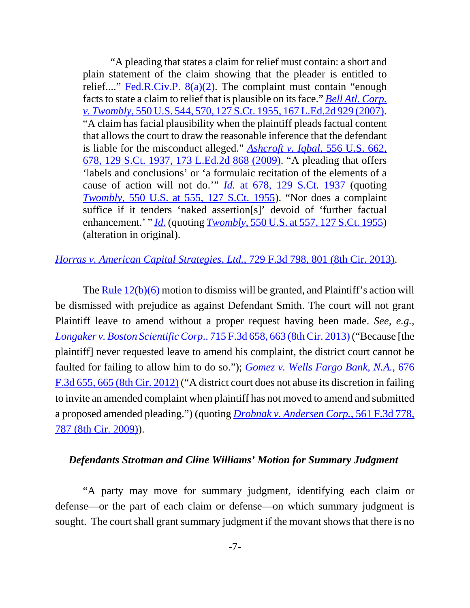"A pleading that states a claim for relief must contain: a short and plain statement of the claim showing that the pleader is entitled to relief...." Fed.R.Civ.P.  $8(a)(2)$ . The complaint must contain "enough facts to state a claim to relief that is plausible on its face." *Bell Atl. Corp. v. Twombly*, 550 U.S. 544, 570, 127 S.Ct. 1955, 167 L.Ed.2d 929 (2007). "A claim has facial plausibility when the plaintiff pleads factual content that allows the court to draw the reasonable inference that the defendant is liable for the misconduct alleged." *Ashcroft v. Iqbal*, 556 U.S. 662, 678, 129 S.Ct. 1937, 173 L.Ed.2d 868 (2009). "A pleading that offers 'labels and conclusions' or 'a formulaic recitation of the elements of a cause of action will not do.'" *Id.* at 678, 129 S.Ct. 1937 (quoting *Twombly*, 550 U.S. at 555, 127 S.Ct. 1955). "Nor does a complaint suffice if it tenders 'naked assertion[s]' devoid of 'further factual enhancement.' " *Id*. (quoting *Twombly*, 550 U.S. at 557, 127 S.Ct. 1955) (alteration in original).

## *Horras v. American Capital Strategies, Ltd.*, 729 F.3d 798, 801 (8th Cir. 2013).

The  $Rule 12(b)(6)$  motion to dismiss will be granted, and Plaintiff's action will be dismissed with prejudice as against Defendant Smith. The court will not grant Plaintiff leave to amend without a proper request having been made. *See, e.g., Longaker v. Boston Scientific Corp*.. 715 F.3d 658, 663 (8th Cir. 2013) ("Because [the plaintiff] never requested leave to amend his complaint, the district court cannot be faulted for failing to allow him to do so."); *Gomez v. Wells Fargo Bank, N.A.*, 676 F.3d 655, 665 (8th Cir. 2012) ("A district court does not abuse its discretion in failing to invite an amended complaint when plaintiff has not moved to amend and submitted a proposed amended pleading.") (quoting *Drobnak v. Andersen Corp.*, 561 F.3d 778, 787 (8th Cir. 2009)).

#### *Defendants Strotman and Cline Williams' Motion for Summary Judgment*

"A party may move for summary judgment, identifying each claim or defense—or the part of each claim or defense—on which summary judgment is sought. The court shall grant summary judgment if the movant shows that there is no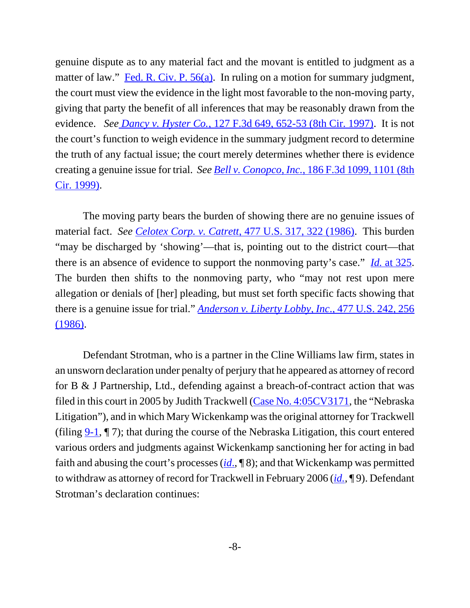genuine dispute as to any material fact and the movant is entitled to judgment as a matter of law." Fed. R. Civ. P. 56(a). In ruling on a motion for summary judgment, the court must view the evidence in the light most favorable to the non-moving party, giving that party the benefit of all inferences that may be reasonably drawn from the evidence. *See Dancy v. Hyster Co.*, 127 F.3d 649, 652-53 (8th Cir. 1997). It is not the court's function to weigh evidence in the summary judgment record to determine the truth of any factual issue; the court merely determines whether there is evidence creating a genuine issue for trial. *See Bell v. Conopco, Inc.*, 186 F.3d 1099, 1101 (8th Cir. 1999).

The moving party bears the burden of showing there are no genuine issues of material fact. *See Celotex Corp. v. Catrett*, 477 U.S. 317, 322 (1986). This burden "may be discharged by 'showing'—that is, pointing out to the district court—that there is an absence of evidence to support the nonmoving party's case." *Id.* at 325. The burden then shifts to the nonmoving party, who "may not rest upon mere allegation or denials of [her] pleading, but must set forth specific facts showing that there is a genuine issue for trial." *Anderson v. Liberty Lobby, Inc*., 477 U.S. 242, 256 (1986).

Defendant Strotman, who is a partner in the Cline Williams law firm, states in an unsworn declaration under penalty of perjury that he appeared as attorney of record for B & J Partnership, Ltd., defending against a breach-of-contract action that was filed in this court in 2005 by Judith Trackwell (Case No. 4:05CV3171, the "Nebraska Litigation"), and in which Mary Wickenkamp was the original attorney for Trackwell (filing 9-1, ¶ 7); that during the course of the Nebraska Litigation, this court entered various orders and judgments against Wickenkamp sanctioning her for acting in bad faith and abusing the court's processes (*id*., ¶ 8); and that Wickenkamp was permitted to withdraw as attorney of record for Trackwell in February 2006 (*id.*, ¶ 9). Defendant Strotman's declaration continues: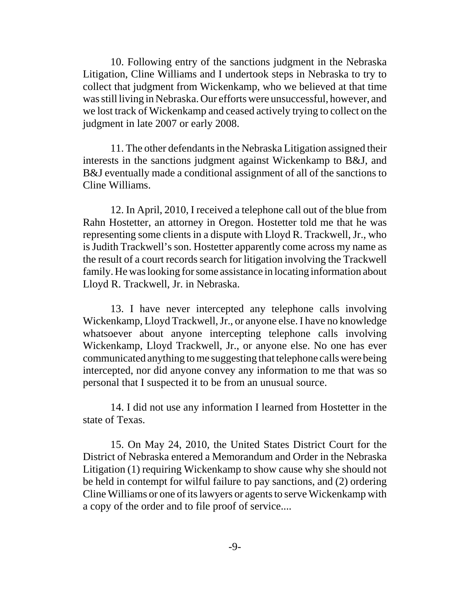10. Following entry of the sanctions judgment in the Nebraska Litigation, Cline Williams and I undertook steps in Nebraska to try to collect that judgment from Wickenkamp, who we believed at that time was still living in Nebraska. Our efforts were unsuccessful, however, and we lost track of Wickenkamp and ceased actively trying to collect on the judgment in late 2007 or early 2008.

11. The other defendants in the Nebraska Litigation assigned their interests in the sanctions judgment against Wickenkamp to B&J, and B&J eventually made a conditional assignment of all of the sanctions to Cline Williams.

12. In April, 2010, I received a telephone call out of the blue from Rahn Hostetter, an attorney in Oregon. Hostetter told me that he was representing some clients in a dispute with Lloyd R. Trackwell, Jr., who is Judith Trackwell's son. Hostetter apparently come across my name as the result of a court records search for litigation involving the Trackwell family. He was looking for some assistance in locating information about Lloyd R. Trackwell, Jr. in Nebraska.

13. I have never intercepted any telephone calls involving Wickenkamp, Lloyd Trackwell, Jr., or anyone else. I have no knowledge whatsoever about anyone intercepting telephone calls involving Wickenkamp, Lloyd Trackwell, Jr., or anyone else. No one has ever communicated anything to me suggesting that telephone calls were being intercepted, nor did anyone convey any information to me that was so personal that I suspected it to be from an unusual source.

14. I did not use any information I learned from Hostetter in the state of Texas.

15. On May 24, 2010, the United States District Court for the District of Nebraska entered a Memorandum and Order in the Nebraska Litigation (1) requiring Wickenkamp to show cause why she should not be held in contempt for wilful failure to pay sanctions, and (2) ordering Cline Williams or one of its lawyers or agents to serve Wickenkamp with a copy of the order and to file proof of service....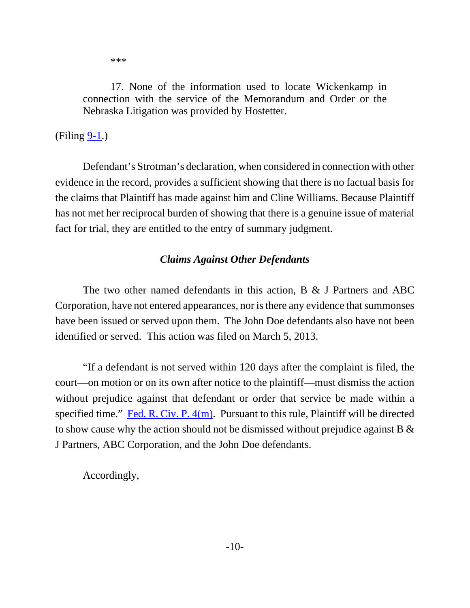\*\*\*

17. None of the information used to locate Wickenkamp in connection with the service of the Memorandum and Order or the Nebraska Litigation was provided by Hostetter.

# $(Filing 9-1.)$

Defendant's Strotman's declaration, when considered in connection with other evidence in the record, provides a sufficient showing that there is no factual basis for the claims that Plaintiff has made against him and Cline Williams. Because Plaintiff has not met her reciprocal burden of showing that there is a genuine issue of material fact for trial, they are entitled to the entry of summary judgment.

# *Claims Against Other Defendants*

The two other named defendants in this action, B & J Partners and ABC Corporation, have not entered appearances, nor is there any evidence that summonses have been issued or served upon them. The John Doe defendants also have not been identified or served. This action was filed on March 5, 2013.

"If a defendant is not served within 120 days after the complaint is filed, the court—on motion or on its own after notice to the plaintiff—must dismiss the action without prejudice against that defendant or order that service be made within a specified time." Fed. R. Civ. P. 4(m). Pursuant to this rule, Plaintiff will be directed to show cause why the action should not be dismissed without prejudice against B & J Partners, ABC Corporation, and the John Doe defendants.

Accordingly,